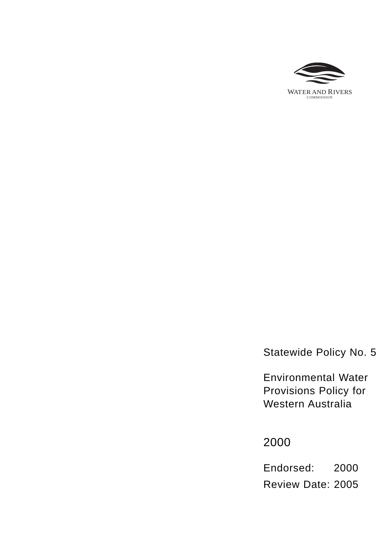

WATER AND RIVERS

Statewide Policy No. 5

Environmental Water Provisions Policy for Western Australia

2000

Endorsed: 2000 Review Date: 2005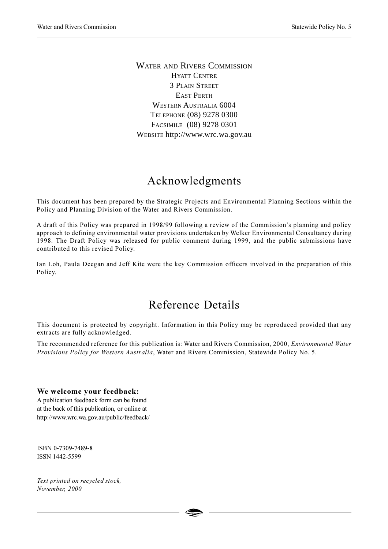WATER AND RIVERS COMMISSION HYATT CENTRE 3 PLAIN STREET EAST PERTH WESTERN AUSTRALIA 6004 TELEPHONE (08) 9278 0300 FACSIMILE (08) 9278 0301 WEBSITE http://www.wrc.wa.gov.au

## Acknowledgments

This document has been prepared by the Strategic Projects and Environmental Planning Sections within the Policy and Planning Division of the Water and Rivers Commission.

A draft of this Policy was prepared in 1998/99 following a review of the Commission's planning and policy approach to defining environmental water provisions undertaken by Welker Environmental Consultancy during 1998. The Draft Policy was released for public comment during 1999, and the public submissions have contributed to this revised Policy.

Ian Loh, Paula Deegan and Jeff Kite were the key Commission officers involved in the preparation of this Policy.

## Reference Details

This document is protected by copyright. Information in this Policy may be reproduced provided that any extracts are fully acknowledged.

The recommended reference for this publication is: Water and Rivers Commission, 2000, *Environmental Water Provisions Policy for Western Australia*, Water and Rivers Commission, Statewide Policy No. 5.

### **We welcome your feedback:**

A publication feedback form can be found at the back of this publication, or online at http://www.wrc.wa.gov.au/public/feedback/

ISBN 0-7309-7489-8 ISSN 1442-5599

*Text printed on recycled stock, November, 2000*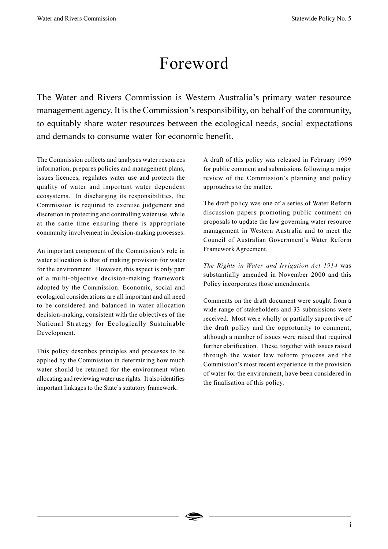# Foreword

The Water and Rivers Commission is Western Australia's primary water resource management agency. It is the Commission's responsibility, on behalf of the community, to equitably share water resources between the ecological needs, social expectations and demands to consume water for economic benefit.

The Commission collects and analyses water resources information, prepares policies and management plans, issues licences, regulates water use and protects the quality of water and important water dependent ecosystems. In discharging its responsibilities, the Commission is required to exercise judgement and discretion in protecting and controlling water use, while at the same time ensuring there is appropriate community involvement in decision-making processes.

An important component of the Commission's role in water allocation is that of making provision for water for the environment. However, this aspect is only part of a multi-objective decision-making framework adopted by the Commission. Economic, social and ecological considerations are all important and all need to be considered and balanced in water allocation decision-making, consistent with the objectives of the National Strategy for Ecologically Sustainable Development.

This policy describes principles and processes to be applied by the Commission in determining how much water should be retained for the environment when allocating and reviewing water use rights. It also identifies important linkages to the State's statutory framework.

A draft of this policy was released in February 1999 for public comment and submissions following a major review of the Commission's planning and policy approaches to the matter.

The draft policy was one of a series of Water Reform discussion papers promoting public comment on proposals to update the law governing water resource management in Western Australia and to meet the Council of Australian Government's Water Reform Framework Agreement.

*The Rights in Water and Irrigation Act 1914* was substantially amended in November 2000 and this Policy incorporates those amendments.

Comments on the draft document were sought from a wide range of stakeholders and 33 submissions were received. Most were wholly or partially supportive of the draft policy and the opportunity to comment, although a number of issues were raised that required further clarification. These, together with issues raised through the water law reform process and the Commission's most recent experience in the provision of water for the environment, have been considered in the finalisation of this policy.

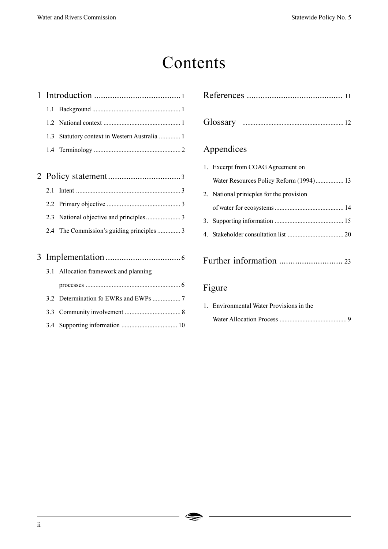# Contents

 $\Leftrightarrow$  -

| $\mathbf{1}$ |     |                                            |
|--------------|-----|--------------------------------------------|
|              | 1.1 |                                            |
|              | 1.2 |                                            |
|              | 1.3 | Statutory context in Western Australia  1  |
|              |     |                                            |
|              |     |                                            |
|              |     |                                            |
|              | 2.1 |                                            |
|              |     |                                            |
|              | 2.3 |                                            |
|              |     | 2.4 The Commission's guiding principles  3 |
|              |     |                                            |
| 3            |     |                                            |
|              |     | 3.1 Allocation framework and planning      |
|              |     |                                            |
|              |     | 3.2 Determination fo EWRs and EWPs  7      |
|              |     |                                            |
|              | 3.4 |                                            |

| Glossarv |  | $\sqrt{2}$ |
|----------|--|------------|
|----------|--|------------|

## Appendices

|  | 1. Excerpt from COAG Agreement on        |  |  |  |
|--|------------------------------------------|--|--|--|
|  | Water Resources Policy Reform (1994) 13  |  |  |  |
|  | 2. National prinicples for the provision |  |  |  |
|  |                                          |  |  |  |
|  |                                          |  |  |  |
|  |                                          |  |  |  |
|  |                                          |  |  |  |
|  | Figure                                   |  |  |  |

| 1. Environmental Water Provisions in the |  |  |  |  |
|------------------------------------------|--|--|--|--|
|                                          |  |  |  |  |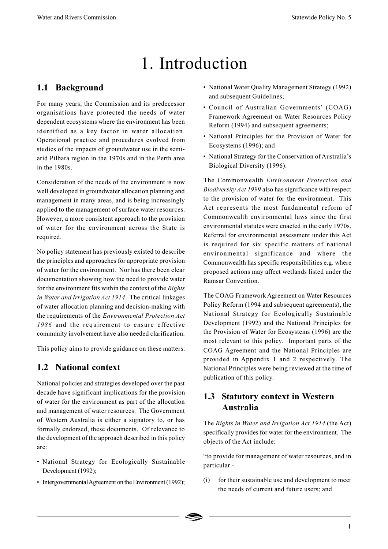# 1. Introduction

### **1.1 Background**

For many years, the Commission and its predecessor organisations have protected the needs of water dependent ecosystems where the environment has been identified as a key factor in water allocation. Operational practice and procedures evolved from studies of the impacts of groundwater use in the semiarid Pilbara region in the 1970s and in the Perth area in the 1980s.

Consideration of the needs of the environment is now well developed in groundwater allocation planning and management in many areas, and is being increasingly applied to the management of surface water resources. However, a more consistent approach to the provision of water for the environment across the State is required.

No policy statement has previously existed to describe the principles and approaches for appropriate provision of water for the environment. Nor has there been clear documentation showing how the need to provide water for the environment fits within the context of the *Rights in Water and Irrigation Act 1914*. The critical linkages of water allocation planning and decision-making with the requirements of the *Environmental Protection Act 1986* and the requirement to ensure effective community involvement have also needed clarification.

This policy aims to provide guidance on these matters.

### **1.2 National context**

National policies and strategies developed over the past decade have significant implications for the provision of water for the environment as part of the allocation and management of water resources. The Government of Western Australia is either a signatory to, or has formally endorsed, these documents. Of relevance to the development of the approach described in this policy are:

- National Strategy for Ecologically Sustainable Development (1992);
- Intergovernmental Agreement on the Environment (1992):
- National Water Quality Management Strategy (1992) and subsequent Guidelines;
- Council of Australian Governments' (COAG) Framework Agreement on Water Resources Policy Reform (1994) and subsequent agreements;
- National Principles for the Provision of Water for Ecosystems (1996); and
- National Strategy for the Conservation of Australia's Biological Diversity (1996).

The Commonwealth *Environment Protection and Biodiversity Act 1999* also has significance with respect to the provision of water for the environment. This Act represents the most fundamental reform of Commonwealth environmental laws since the first environmental statutes were enacted in the early 1970s. Referral for environmental assessment under this Act is required for six specific matters of national environmental significance and where the Commonwealth has specific responsibilities e.g. where proposed actions may affect wetlands listed under the Ramsar Convention.

The COAG Framework Agreement on Water Resources Policy Reform (1994 and subsequent agreements), the National Strategy for Ecologically Sustainable Development (1992) and the National Principles for the Provision of Water for Ecosystems (1996) are the most relevant to this policy. Important parts of the COAG Agreement and the National Principles are provided in Appendix 1 and 2 respectively. The National Principles were being reviewed at the time of publication of this policy.

### **1.3 Statutory context in Western Australia**

The *Rights in Water and Irrigation Act 1914* (the Act) specifically provides for water for the environment. The objects of the Act include:

to provide for management of water resources, and in particular -

(i) for their sustainable use and development to meet the needs of current and future users; and

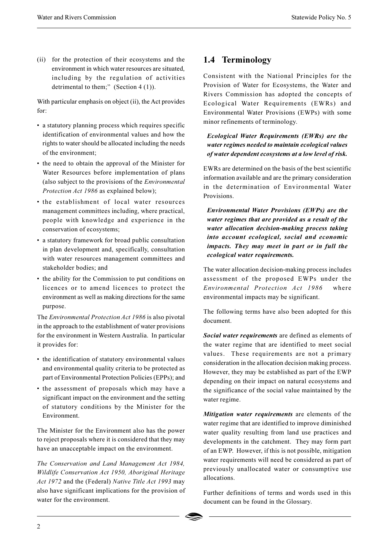(ii) for the protection of their ecosystems and the environment in which water resources are situated, including by the regulation of activities detrimental to them;" (Section  $4(1)$ ).

With particular emphasis on object (ii), the Act provides for:

- a statutory planning process which requires specific identification of environmental values and how the rights to water should be allocated including the needs of the environment;
- the need to obtain the approval of the Minister for Water Resources before implementation of plans (also subject to the provisions of the *Environmental Protection Act 1986* as explained below);
- $\cdot$  the establishment of local water resources management committees including, where practical, people with knowledge and experience in the conservation of ecosystems;
- a statutory framework for broad public consultation in plan development and, specifically, consultation with water resources management committees and stakeholder bodies; and
- the ability for the Commission to put conditions on licences or to amend licences to protect the environment as well as making directions for the same purpose.

The *Environmental Protection Act 1986* is also pivotal in the approach to the establishment of water provisions for the environment in Western Australia. In particular it provides for:

- the identification of statutory environmental values and environmental quality criteria to be protected as part of Environmental Protection Policies (EPPs); and
- the assessment of proposals which may have a significant impact on the environment and the setting of statutory conditions by the Minister for the Environment.

The Minister for the Environment also has the power to reject proposals where it is considered that they may have an unacceptable impact on the environment.

*The Conservation and Land Management Act 1984, Wildlife Conservation Act 1950, Aboriginal Heritage Act 1972* and the (Federal) *Native Title Act 1993* may also have significant implications for the provision of water for the environment.

### **1.4 Terminology**

Consistent with the National Principles for the Provision of Water for Ecosystems, the Water and Rivers Commission has adopted the concepts of Ecological Water Requirements (EWRs) and Environmental Water Provisions (EWPs) with some minor refinements of terminology.

*Ecological Water Requirements (EWRs) are the water regimes needed to maintain ecological values of water dependent ecosystems at a low level of risk.*

EWRs are determined on the basis of the best scientific information available and are the primary consideration in the determination of Environmental Water Provisions.

*Environmental Water Provisions (EWPs) are the water regimes that are provided as a result of the water allocation decision-making process taking into account ecological, social and economic impacts. They may meet in part or in full the ecological water requirements.*

The water allocation decision-making process includes assessment of the proposed EWPs under the *Environmental Protection Act 1986* where environmental impacts may be significant.

The following terms have also been adopted for this document.

*Social water requirements* are defined as elements of the water regime that are identified to meet social values. These requirements are not a primary consideration in the allocation decision making process. However, they may be established as part of the EWP depending on their impact on natural ecosystems and the significance of the social value maintained by the water regime.

*Mitigation water requirements* are elements of the water regime that are identified to improve diminished water quality resulting from land use practices and developments in the catchment. They may form part of an EWP. However, if this is not possible, mitigation water requirements will need be considered as part of previously unallocated water or consumptive use allocations.

Further definitions of terms and words used in this document can be found in the Glossary.

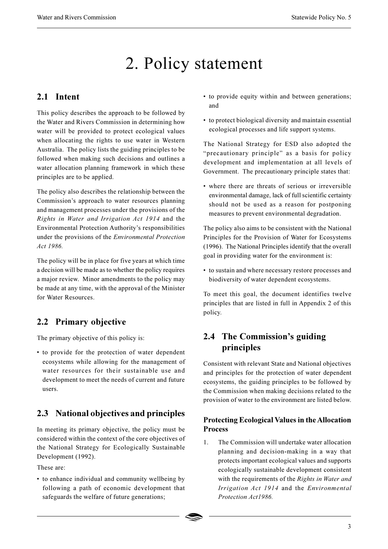# 2. Policy statement

## **2.1 Intent**

This policy describes the approach to be followed by the Water and Rivers Commission in determining how water will be provided to protect ecological values when allocating the rights to use water in Western Australia. The policy lists the guiding principles to be followed when making such decisions and outlines a water allocation planning framework in which these principles are to be applied.

The policy also describes the relationship between the Commission's approach to water resources planning and management processes under the provisions of the *Rights in Water and Irrigation Act 1914* and the Environmental Protection Authority's responsibilities under the provisions of the *Environmental Protection Act 1986.*

The policy will be in place for five years at which time a decision will be made as to whether the policy requires a major review. Minor amendments to the policy may be made at any time, with the approval of the Minister for Water Resources.

## **2.2 Primary objective**

The primary objective of this policy is:

• to provide for the protection of water dependent ecosystems while allowing for the management of water resources for their sustainable use and development to meet the needs of current and future users.

## **2.3 National objectives and principles**

In meeting its primary objective, the policy must be considered within the context of the core objectives of the National Strategy for Ecologically Sustainable Development (1992).

These are:

• to enhance individual and community wellbeing by following a path of economic development that safeguards the welfare of future generations;

- to provide equity within and between generations; and
- to protect biological diversity and maintain essential ecological processes and life support systems.

The National Strategy for ESD also adopted the "precautionary principle" as a basis for policy development and implementation at all levels of Government. The precautionary principle states that:

 where there are threats of serious or irreversible environmental damage, lack of full scientific certainty should not be used as a reason for postponing measures to prevent environmental degradation.

The policy also aims to be consistent with the National Principles for the Provision of Water for Ecosystems (1996). The National Principles identify that the overall goal in providing water for the environment is:

 to sustain and where necessary restore processes and biodiversity of water dependent ecosystems.

To meet this goal, the document identifies twelve principles that are listed in full in Appendix 2 of this policy.

## **2.4 The Commission's guiding principles**

Consistent with relevant State and National objectives and principles for the protection of water dependent ecosystems, the guiding principles to be followed by the Commission when making decisions related to the provision of water to the environment are listed below.

### **Protecting Ecological Values in the Allocation Process**

1. The Commission will undertake water allocation planning and decision-making in a way that protects important ecological values and supports ecologically sustainable development consistent with the requirements of the *Rights in Water and Irrigation Act 1914* and the *Environmental Protection Act1986.*

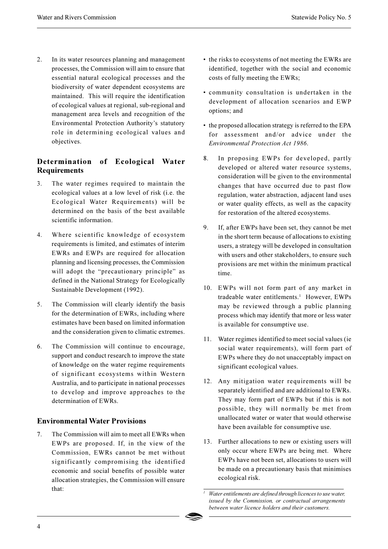2. In its water resources planning and management processes, the Commission will aim to ensure that essential natural ecological processes and the biodiversity of water dependent ecosystems are maintained. This will require the identification of ecological values at regional, sub-regional and management area levels and recognition of the Environmental Protection Authority's statutory role in determining ecological values and objectives.

### **Determination of Ecological Water Requirements**

- 3. The water regimes required to maintain the ecological values at a low level of risk (i.e. the Ecological Water Requirements) will be determined on the basis of the best available scientific information.
- 4. Where scientific knowledge of ecosystem requirements is limited, and estimates of interim EWRs and EWPs are required for allocation planning and licensing processes, the Commission will adopt the "precautionary principle" as defined in the National Strategy for Ecologically Sustainable Development (1992).
- 5. The Commission will clearly identify the basis for the determination of EWRs, including where estimates have been based on limited information and the consideration given to climatic extremes.
- 6. The Commission will continue to encourage, support and conduct research to improve the state of knowledge on the water regime requirements of significant ecosystems within Western Australia, and to participate in national processes to develop and improve approaches to the determination of EWRs.

### **Environmental Water Provisions**

7. The Commission will aim to meet all EWRs when EWPs are proposed. If, in the view of the Commission, EWRs cannot be met without significantly compromising the identified economic and social benefits of possible water allocation strategies, the Commission will ensure that:

- the risks to ecosystems of not meeting the EWRs are identified, together with the social and economic costs of fully meeting the EWRs;
- community consultation is undertaken in the development of allocation scenarios and EWP options; and
- the proposed allocation strategy is referred to the EPA for assessment and/or advice under the *Environmental Protection Act 1986*.
- 8. In proposing EWPs for developed, partly developed or altered water resource systems, consideration will be given to the environmental changes that have occurred due to past flow regulation, water abstraction, adjacent land uses or water quality effects, as well as the capacity for restoration of the altered ecosystems.
- 9. If, after EWPs have been set, they cannot be met in the short term because of allocations to existing users, a strategy will be developed in consultation with users and other stakeholders, to ensure such provisions are met within the minimum practical time.
- 10. EWPs will not form part of any market in tradeable water entitlements.<sup>1</sup> However, EWPs may be reviewed through a public planning process which may identify that more or less water is available for consumptive use.
- 11. Water regimes identified to meet social values (ie social water requirements), will form part of EWPs where they do not unacceptably impact on significant ecological values.
- 12. Any mitigation water requirements will be separately identified and are additional to EWRs. They may form part of EWPs but if this is not possible, they will normally be met from unallocated water or water that would otherwise have been available for consumptive use.
- 13. Further allocations to new or existing users will only occur where EWPs are being met. Where EWPs have not been set, allocations to users will be made on a precautionary basis that minimises ecological risk.

*<sup>1</sup> Water entitlements are defined through licences to use water, issued by the Commission, or contractual arrangements between water licence holders and their customers.*

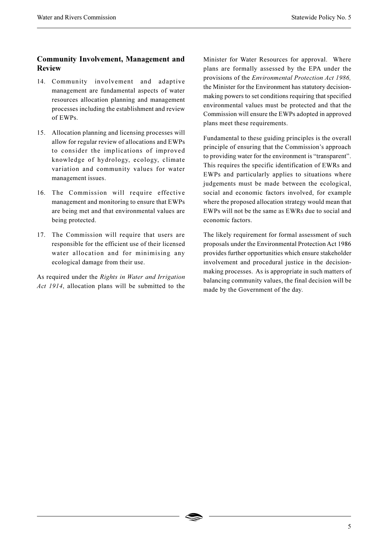### **Community Involvement, Management and Review**

- 14. Community involvement and adaptive management are fundamental aspects of water resources allocation planning and management processes including the establishment and review of EWPs.
- 15. Allocation planning and licensing processes will allow for regular review of allocations and EWPs to consider the implications of improved knowledge of hydrology, ecology, climate variation and community values for water management issues.
- 16. The Commission will require effective management and monitoring to ensure that EWPs are being met and that environmental values are being protected.
- 17. The Commission will require that users are responsible for the efficient use of their licensed water allocation and for minimising any ecological damage from their use.

As required under the *Rights in Water and Irrigation Act 1914*, allocation plans will be submitted to the Minister for Water Resources for approval. Where plans are formally assessed by the EPA under the provisions of the *Environmental Protection Act 1986,* the Minister for the Environment has statutory decisionmaking powers to set conditions requiring that specified environmental values must be protected and that the Commission will ensure the EWPs adopted in approved plans meet these requirements.

Fundamental to these guiding principles is the overall principle of ensuring that the Commission's approach to providing water for the environment is "transparent". This requires the specific identification of EWRs and EWPs and particularly applies to situations where judgements must be made between the ecological, social and economic factors involved, for example where the proposed allocation strategy would mean that EWPs will not be the same as EWRs due to social and economic factors.

The likely requirement for formal assessment of such proposals under the Environmental Protection Act 1986 provides further opportunities which ensure stakeholder involvement and procedural justice in the decisionmaking processes. As is appropriate in such matters of balancing community values, the final decision will be made by the Government of the day.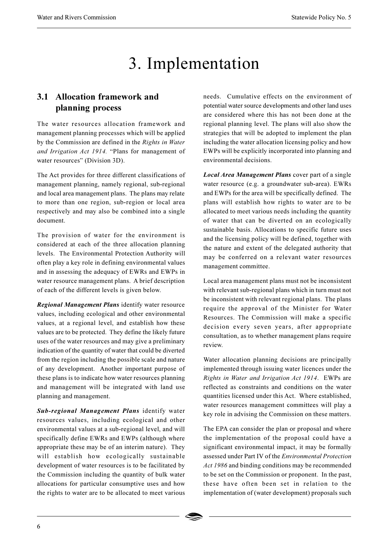# 3. Implementation

## **3.1 Allocation framework and planning process**

The water resources allocation framework and management planning processes which will be applied by the Commission are defined in the *Rights in Water* and Irrigation Act 1914. "Plans for management of water resources" (Division 3D).

The Act provides for three different classifications of management planning, namely regional, sub-regional and local area management plans. The plans may relate to more than one region, sub-region or local area respectively and may also be combined into a single document.

The provision of water for the environment is considered at each of the three allocation planning levels. The Environmental Protection Authority will often play a key role in defining environmental values and in assessing the adequacy of EWRs and EWPs in water resource management plans. A brief description of each of the different levels is given below.

*Regional Management Plans* identify water resource values, including ecological and other environmental values, at a regional level, and establish how these values are to be protected. They define the likely future uses of the water resources and may give a preliminary indication of the quantity of water that could be diverted from the region including the possible scale and nature of any development. Another important purpose of these plans is to indicate how water resources planning and management will be integrated with land use planning and management.

*Sub-regional Management Plans* identify water resources values, including ecological and other environmental values at a sub-regional level, and will specifically define EWRs and EWPs (although where appropriate these may be of an interim nature). They will establish how ecologically sustainable development of water resources is to be facilitated by the Commission including the quantity of bulk water allocations for particular consumptive uses and how the rights to water are to be allocated to meet various

needs. Cumulative effects on the environment of potential water source developments and other land uses are considered where this has not been done at the regional planning level. The plans will also show the strategies that will be adopted to implement the plan including the water allocation licensing policy and how EWPs will be explicitly incorporated into planning and environmental decisions.

*Local Area Management Plans* cover part of a single water resource (e.g. a groundwater sub-area). EWRs and EWPs for the area will be specifically defined. The plans will establish how rights to water are to be allocated to meet various needs including the quantity of water that can be diverted on an ecologically sustainable basis. Allocations to specific future uses and the licensing policy will be defined, together with the nature and extent of the delegated authority that may be conferred on a relevant water resources management committee.

Local area management plans must not be inconsistent with relevant sub-regional plans which in turn must not be inconsistent with relevant regional plans. The plans require the approval of the Minister for Water Resources. The Commission will make a specific decision every seven years, after appropriate consultation, as to whether management plans require review.

Water allocation planning decisions are principally implemented through issuing water licences under the *Rights in Water and Irrigation Act 1914*. EWPs are reflected as constraints and conditions on the water quantities licensed under this Act. Where established, water resources management committees will play a key role in advising the Commission on these matters.

The EPA can consider the plan or proposal and where the implementation of the proposal could have a significant environmental impact, it may be formally assessed under Part IV of the *Environmental Protection Act 1986* and binding conditions may be recommended to be set on the Commission or proponent. In the past, these have often been set in relation to the implementation of (water development) proposals such

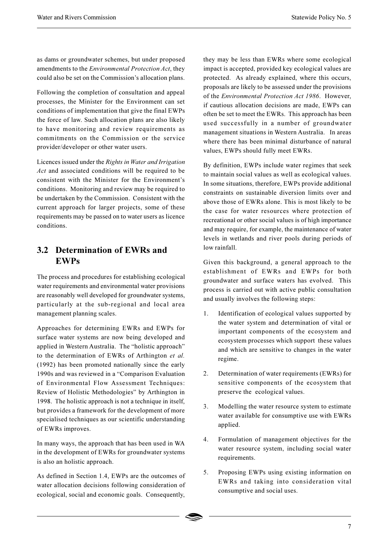as dams or groundwater schemes, but under proposed amendments to the *Environmental Protection Act*, they could also be set on the Commission's allocation plans.

Following the completion of consultation and appeal processes, the Minister for the Environment can set conditions of implementation that give the final EWPs the force of law. Such allocation plans are also likely to have monitoring and review requirements as commitments on the Commission or the service provider/developer or other water users.

Licences issued under the *Rights in Water and Irrigation Act* and associated conditions will be required to be consistent with the Minister for the Environment's conditions. Monitoring and review may be required to be undertaken by the Commission. Consistent with the current approach for larger projects, some of these requirements may be passed on to water users as licence conditions.

## **3.2 Determination of EWRs and EWPs**

The process and procedures for establishing ecological water requirements and environmental water provisions are reasonably well developed for groundwater systems, particularly at the sub-regional and local area management planning scales.

Approaches for determining EWRs and EWPs for surface water systems are now being developed and applied in Western Australia. The "holistic approach" to the determination of EWRs of Arthington *et al.* (1992) has been promoted nationally since the early 1990s and was reviewed in a "Comparison Evaluation of Environmental Flow Assessment Techniques: Review of Holistic Methodologies" by Arthington in 1998. The holistic approach is not a technique in itself, but provides a framework for the development of more specialised techniques as our scientific understanding of EWRs improves.

In many ways, the approach that has been used in WA in the development of EWRs for groundwater systems is also an holistic approach.

As defined in Section 1.4, EWPs are the outcomes of water allocation decisions following consideration of ecological, social and economic goals. Consequently,

they may be less than EWRs where some ecological impact is accepted, provided key ecological values are protected. As already explained, where this occurs, proposals are likely to be assessed under the provisions of the *Environmental Protection Act 1986*. However, if cautious allocation decisions are made, EWPs can often be set to meet the EWRs. This approach has been used successfully in a number of groundwater management situations in Western Australia. In areas where there has been minimal disturbance of natural values, EWPs should fully meet EWRs.

By definition, EWPs include water regimes that seek to maintain social values as well as ecological values. In some situations, therefore, EWPs provide additional constraints on sustainable diversion limits over and above those of EWRs alone. This is most likely to be the case for water resources where protection of recreational or other social values is of high importance and may require, for example, the maintenance of water levels in wetlands and river pools during periods of low rainfall.

Given this background, a general approach to the establishment of EWRs and EWPs for both groundwater and surface waters has evolved. This process is carried out with active public consultation and usually involves the following steps:

- 1. Identification of ecological values supported by the water system and determination of vital or important components of the ecosystem and ecosystem processes which support these values and which are sensitive to changes in the water regime.
- 2. Determination of water requirements (EWRs) for sensitive components of the ecosystem that preserve the ecological values.
- 3. Modelling the water resource system to estimate water available for consumptive use with EWRs applied.
- 4. Formulation of management objectives for the water resource system, including social water requirements.
- 5. Proposing EWPs using existing information on EWRs and taking into consideration vital consumptive and social uses.

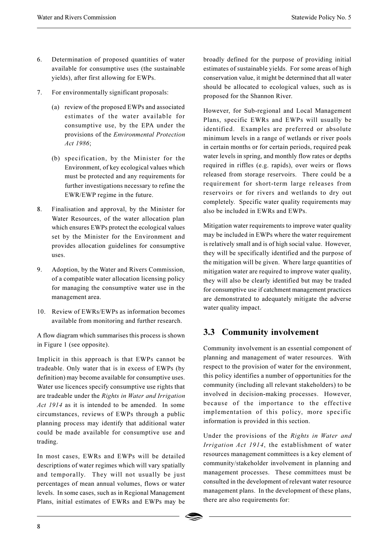- 6. Determination of proposed quantities of water available for consumptive uses (the sustainable yields), after first allowing for EWPs.
- 7. For environmentally significant proposals:
	- (a) review of the proposed EWPs and associated estimates of the water available for consumptive use, by the EPA under the provisions of the *Environmental Protection Act 1986*;
	- (b) specification, by the Minister for the Environment, of key ecological values which must be protected and any requirements for further investigations necessary to refine the EWR/EWP regime in the future.
- 8. Finalisation and approval, by the Minister for Water Resources, of the water allocation plan which ensures EWPs protect the ecological values set by the Minister for the Environment and provides allocation guidelines for consumptive uses.
- 9. Adoption, by the Water and Rivers Commission, of a compatible water allocation licensing policy for managing the consumptive water use in the management area.
- 10. Review of EWRs/EWPs as information becomes available from monitoring and further research.

A flow diagram which summarises this process is shown in Figure 1 (see opposite).

Implicit in this approach is that EWPs cannot be tradeable. Only water that is in excess of EWPs (by definition) may become available for consumptive uses. Water use licences specify consumptive use rights that are tradeable under the *Rights in Water and Irrigation Act 1914* as it is intended to be amended. In some circumstances, reviews of EWPs through a public planning process may identify that additional water could be made available for consumptive use and trading.

In most cases, EWRs and EWPs will be detailed descriptions of water regimes which will vary spatially and temporally. They will not usually be just percentages of mean annual volumes, flows or water levels. In some cases, such as in Regional Management Plans, initial estimates of EWRs and EWPs may be

broadly defined for the purpose of providing initial estimates of sustainable yields. For some areas of high conservation value, it might be determined that all water should be allocated to ecological values, such as is proposed for the Shannon River.

However, for Sub-regional and Local Management Plans, specific EWRs and EWPs will usually be identified. Examples are preferred or absolute minimum levels in a range of wetlands or river pools in certain months or for certain periods, required peak water levels in spring, and monthly flow rates or depths required in riffles (e.g. rapids), over weirs or flows released from storage reservoirs. There could be a requirement for short-term large releases from reservoirs or for rivers and wetlands to dry out completely. Specific water quality requirements may also be included in EWRs and EWPs.

Mitigation water requirements to improve water quality may be included in EWPs where the water requirement is relatively small and is of high social value. However, they will be specifically identified and the purpose of the mitigation will be given. Where large quantities of mitigation water are required to improve water quality, they will also be clearly identified but may be traded for consumptive use if catchment management practices are demonstrated to adequately mitigate the adverse water quality impact.

## **3.3 Community involvement**

Community involvement is an essential component of planning and management of water resources. With respect to the provision of water for the environment, this policy identifies a number of opportunities for the community (including all relevant stakeholders) to be involved in decision-making processes. However, because of the importance to the effective implementation of this policy, more specific information is provided in this section.

Under the provisions of the *Rights in Water and Irrigation Act 1914*, the establishment of water resources management committees is a key element of community/stakeholder involvement in planning and management processes. These committees must be consulted in the development of relevant water resource management plans. In the development of these plans, there are also requirements for:

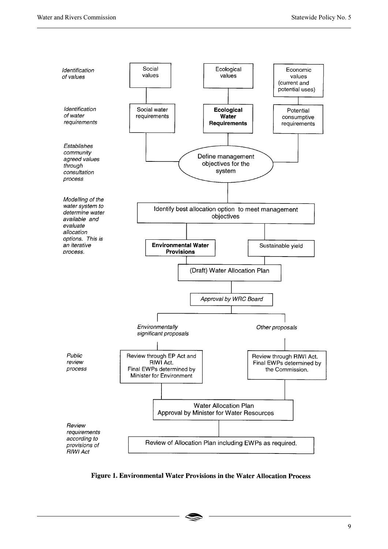

Figure 1. Environmental Water Provisions in the Water Allocation Process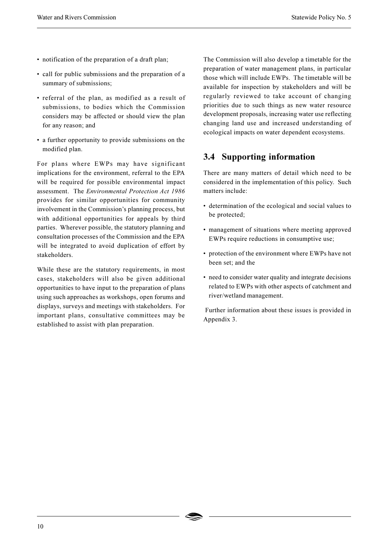- notification of the preparation of a draft plan;
- call for public submissions and the preparation of a summary of submissions;
- referral of the plan, as modified as a result of submissions, to bodies which the Commission considers may be affected or should view the plan for any reason; and
- a further opportunity to provide submissions on the modified plan.

For plans where EWPs may have significant implications for the environment, referral to the EPA will be required for possible environmental impact assessment. The *Environmental Protection Act 1986* provides for similar opportunities for community involvement in the Commission's planning process, but with additional opportunities for appeals by third parties. Wherever possible, the statutory planning and consultation processes of the Commission and the EPA will be integrated to avoid duplication of effort by stakeholders.

While these are the statutory requirements, in most cases, stakeholders will also be given additional opportunities to have input to the preparation of plans using such approaches as workshops, open forums and displays, surveys and meetings with stakeholders. For important plans, consultative committees may be established to assist with plan preparation.

The Commission will also develop a timetable for the preparation of water management plans, in particular those which will include EWPs. The timetable will be available for inspection by stakeholders and will be regularly reviewed to take account of changing priorities due to such things as new water resource development proposals, increasing water use reflecting changing land use and increased understanding of ecological impacts on water dependent ecosystems.

## **3.4 Supporting information**

There are many matters of detail which need to be considered in the implementation of this policy. Such matters include:

- determination of the ecological and social values to be protected;
- management of situations where meeting approved EWPs require reductions in consumptive use;
- protection of the environment where EWPs have not been set; and the
- need to consider water quality and integrate decisions related to EWPs with other aspects of catchment and river/wetland management.

 Further information about these issues is provided in Appendix 3.

Ş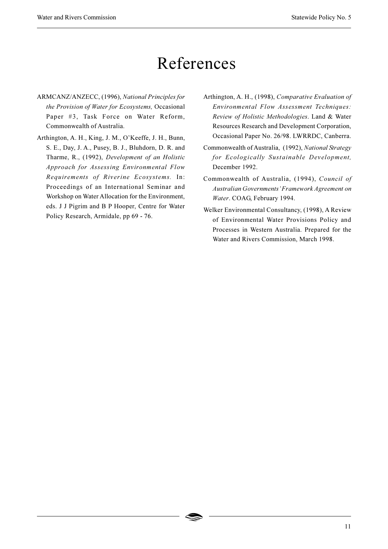# References

- ARMCANZ/ANZECC, (1996), *National Principles for the Provision of Water for Ecosystems,* Occasional Paper #3, Task Force on Water Reform, Commonwealth of Australia.
- Arthington, A. H., King, J. M., O'Keeffe, J. H., Bunn, S. E., Day, J. A., Pusey, B. J., Bluhdorn, D. R. and Tharme, R., (1992), *Development of an Holistic Approach for Assessing Environmental Flow Requirements of Riverine Ecosystems.* In: Proceedings of an International Seminar and Workshop on Water Allocation for the Environment, eds. J J Pigrim and B P Hooper, Centre for Water Policy Research, Armidale, pp 69 - 76.
- Arthington, A. H., (1998), *Comparative Evaluation of Environmental Flow Assessment Techniques: Review of Holistic Methodologies*. Land & Water Resources Research and Development Corporation, Occasional Paper No. 26/98. LWRRDC, Canberra.
- Commonwealth of Australia, (1992), *National Strategy for Ecologically Sustainable Development,* December 1992.
- Commonwealth of Australia, (1994), *Council of Australian Governments Framework Agreement on Water*. COAG, February 1994.
- Welker Environmental Consultancy, (1998), A Review of Environmental Water Provisions Policy and Processes in Western Australia. Prepared for the Water and Rivers Commission, March 1998.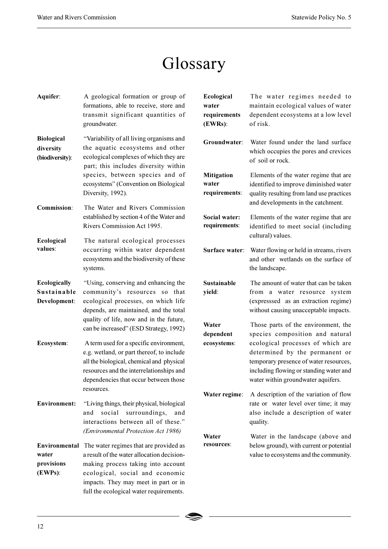$\overline{\phantom{0}}$ 

# Glossary

| Aquifer:                                          | A geological formation or group of<br>formations, able to receive, store and<br>transmit significant quantities of<br>groundwater.                                                                                                                                                                          | Ecological<br>water<br>requirements<br>(EWRs): | The water regimes needed to<br>maintain ecological values of water<br>dependent ecosystems at a low level<br>of risk.                                                                                                                                                    |
|---------------------------------------------------|-------------------------------------------------------------------------------------------------------------------------------------------------------------------------------------------------------------------------------------------------------------------------------------------------------------|------------------------------------------------|--------------------------------------------------------------------------------------------------------------------------------------------------------------------------------------------------------------------------------------------------------------------------|
| <b>Biological</b><br>diversity<br>(biodiversity): | "Variability of all living organisms and<br>the aquatic ecosystems and other<br>ecological complexes of which they are<br>part; this includes diversity within                                                                                                                                              | Groundwater:                                   | Water found under the land surface<br>which occupies the pores and crevices<br>of soil or rock.                                                                                                                                                                          |
|                                                   | species, between species and of<br>ecosystems" (Convention on Biological<br>Diversity, 1992).                                                                                                                                                                                                               | <b>Mitigation</b><br>water<br>requirements:    | Elements of the water regime that are<br>identified to improve diminished water<br>quality resulting from land use practices<br>and developments in the catchment.                                                                                                       |
| <b>Commission:</b>                                | The Water and Rivers Commission<br>established by section 4 of the Water and<br>Rivers Commission Act 1995.                                                                                                                                                                                                 | Social water:<br>requirements:                 | Elements of the water regime that are<br>identified to meet social (including<br>cultural) values.                                                                                                                                                                       |
| Ecological<br>values:                             | The natural ecological processes<br>occurring within water dependent<br>ecosystems and the biodiversity of these<br>systems.                                                                                                                                                                                | Surface water:                                 | Water flowing or held in streams, rivers<br>and other wetlands on the surface of<br>the landscape.                                                                                                                                                                       |
| Ecologically<br>Sustainable<br>Development:       | "Using, conserving and enhancing the<br>community's resources so that<br>ecological processes, on which life<br>depends, are maintained, and the total                                                                                                                                                      | Sustainable<br>yield:                          | The amount of water that can be taken<br>from a water resource system<br>(expresssed as an extraction regime)<br>without causing unacceptable impacts.                                                                                                                   |
| Ecosystem:                                        | quality of life, now and in the future,<br>can be increased" (ESD Strategy, 1992)<br>A term used for a specific environment,<br>e.g. wetland, or part thereof, to include<br>all the biological, chemical and physical<br>resources and the interrelationships and<br>dependencies that occur between those | Water<br>dependent<br>ecosystems:              | Those parts of the environment, the<br>species composition and natural<br>ecological processes of which are<br>determined by the permanent or<br>temporary presence of water resources,<br>including flowing or standing water and<br>water within groundwater aquifers. |
| <b>Environment:</b>                               | resources.<br>"Living things, their physical, biological<br>social<br>surroundings,<br>and<br>and<br>interactions between all of these."                                                                                                                                                                    | Water regime:                                  | A description of the variation of flow<br>rate or water level over time; it may<br>also include a description of water<br>quality.                                                                                                                                       |
| water<br>provisions<br>$(EWPs)$ :                 | (Environmental Protection Act 1986)<br>Environmental The water regimes that are provided as<br>a result of the water allocation decision-<br>making process taking into account<br>ecological, social and economic<br>impacts. They may meet in part or in<br>full the ecological water requirements.       | Water<br>resources:                            | Water in the landscape (above and<br>below ground), with current or potential<br>value to ecosystems and the community.                                                                                                                                                  |



 $\overline{\phantom{a}}$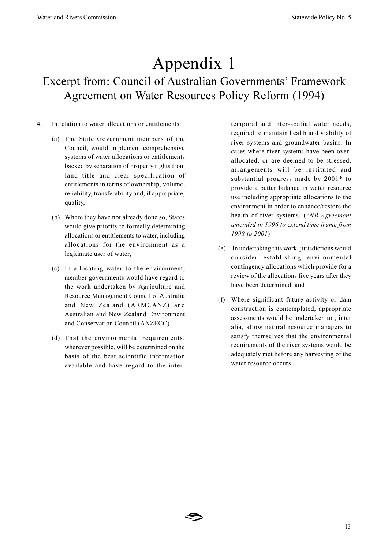## Appendix 1 Excerpt from: Council of Australian Governments' Framework Agreement on Water Resources Policy Reform (1994)

### 4. In relation to water allocations or entitlements:

- (a) The State Government members of the Council, would implement comprehensive systems of water allocations or entitlements backed by separation of property rights from land title and clear specification of entitlements in terms of ownership, volume, reliability, transferability and, if appropriate, quality,
- (b) Where they have not already done so, States would give priority to formally determining allocations or entitlements to water, including allocations for the environment as a legitimate user of water,
- (c) In allocating water to the environment, member governments would have regard to the work undertaken by Agriculture and Resource Management Council of Australia and New Zealand (ARMCANZ) and Australian and New Zealand Environment and Conservation Council (ANZECC)
- (d) That the environmental requirements, wherever possible, will be determined on the basis of the best scientific information available and have regard to the inter-

temporal and inter-spatial water needs, required to maintain health and viability of river systems and groundwater basins. In cases where river systems have been overallocated, or are deemed to be stressed, arrangements will be instituted and substantial progress made by 2001\* to provide a better balance in water resource use including appropriate allocations to the environment in order to enhance/restore the health of river systems. (*\*NB Agreement amended in 1996 to extend time frame from 1998 to 2001*)

- (e) In undertaking this work, jurisdictions would consider establishing environmental contingency allocations which provide for a review of the allocations five years after they have been determined, and
- (f) Where significant future activity or dam construction is contemplated, appropriate assessments would be undertaken to , inter alia, allow natural resource managers to satisfy themselves that the environmental requirements of the river systems would be adequately met before any harvesting of the water resource occurs.

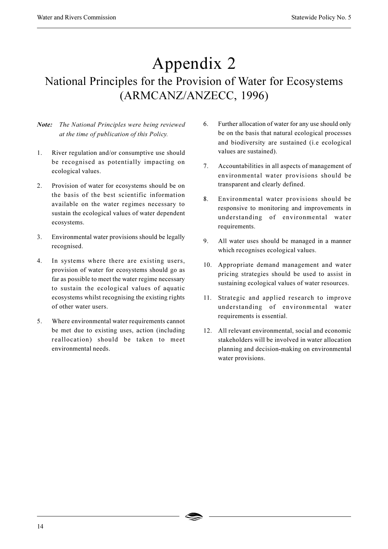## Appendix 2 National Principles for the Provision of Water for Ecosystems (ARMCANZ/ANZECC, 1996)

### *Note: The National Principles were being reviewed at the time of publication of this Policy.*

- 1. River regulation and/or consumptive use should be recognised as potentially impacting on ecological values.
- 2. Provision of water for ecosystems should be on the basis of the best scientific information available on the water regimes necessary to sustain the ecological values of water dependent ecosystems.
- 3. Environmental water provisions should be legally recognised.
- 4. In systems where there are existing users, provision of water for ecosystems should go as far as possible to meet the water regime necessary to sustain the ecological values of aquatic ecosystems whilst recognising the existing rights of other water users.
- 5. Where environmental water requirements cannot be met due to existing uses, action (including reallocation) should be taken to meet environmental needs.
- 6. Further allocation of water for any use should only be on the basis that natural ecological processes and biodiversity are sustained (i.e ecological values are sustained).
- 7. Accountabilities in all aspects of management of environmental water provisions should be transparent and clearly defined.
- 8. Environmental water provisions should be responsive to monitoring and improvements in understanding of environmental water requirements.
- 9. All water uses should be managed in a manner which recognises ecological values.
- 10. Appropriate demand management and water pricing strategies should be used to assist in sustaining ecological values of water resources.
- 11. Strategic and applied research to improve understanding of environmental water requirements is essential.
- 12. All relevant environmental, social and economic stakeholders will be involved in water allocation planning and decision-making on environmental water provisions.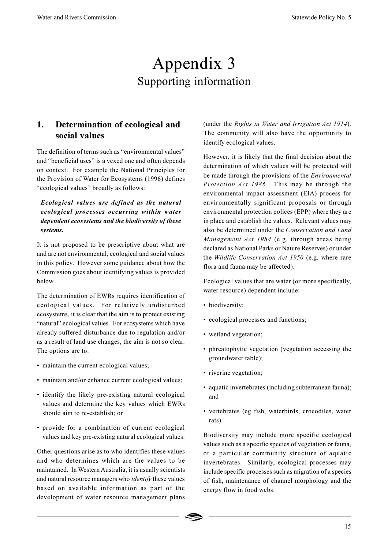## Appendix 3 Supporting information

### **1. Determination of ecological and social values**

The definition of terms such as "environmental values" and "beneficial uses" is a vexed one and often depends on context. For example the National Principles for the Provision of Water for Ecosystems (1996) defines "ecological values" broadly as follows:

### *Ecological values are defined as the natural ecological processes occurring within water dependent ecosystems and the biodiversity of these systems.*

It is not proposed to be prescriptive about what are and are not environmental, ecological and social values in this policy. However some guidance about how the Commission goes about identifying values is provided below.

The determination of EWRs requires identification of ecological values. For relatively undisturbed ecosystems, it is clear that the aim is to protect existing "natural" ecological values. For ecosystems which have already suffered disturbance due to regulation and/or as a result of land use changes, the aim is not so clear. The options are to:

- maintain the current ecological values;
- maintain and/or enhance current ecological values;
- identify the likely pre-existing natural ecological values and determine the key values which EWRs should aim to re-establish; or
- provide for a combination of current ecological values and key pre-existing natural ecological values.

Other questions arise as to who identifies these values and who determines which are the values to be maintained. In Western Australia, it is usually scientists and natural resource managers who *identify* these values based on available information as part of the development of water resource management plans

(under the *Rights in Water and Irrigation Act 1914*). The community will also have the opportunity to identify ecological values.

However, it is likely that the final decision about the determination of which values will be protected will be made through the provisions of the *Environmental Protection Act 1986*. This may be through the environmental impact assessment (EIA) process for environmentally significant proposals or through environmental protection polices (EPP) where they are in place and establish the values. Relevant values may also be determined under the *Conservation and Land Management Act 1984* (e.g. through areas being declared as National Parks or Nature Reserves) or under the *Wildlife Conservation Act 1950* (e.g. where rare flora and fauna may be affected).

Ecological values that are water (or more specifically, water resource) dependent include:

- biodiversity:
- ecological processes and functions;
- wetland vegetation;
- phreatophytic vegetation (vegetation accessing the groundwater table);
- riverine vegetation;
- aquatic invertebrates (including subterranean fauna); and
- vertebrates (eg fish, waterbirds, crocodiles, water rats).

Biodiversity may include more specific ecological values such as a specific species of vegetation or fauna, or a particular community structure of aquatic invertebrates. Similarly, ecological processes may include specific processes such as migration of a species of fish, maintenance of channel morphology and the energy flow in food webs.

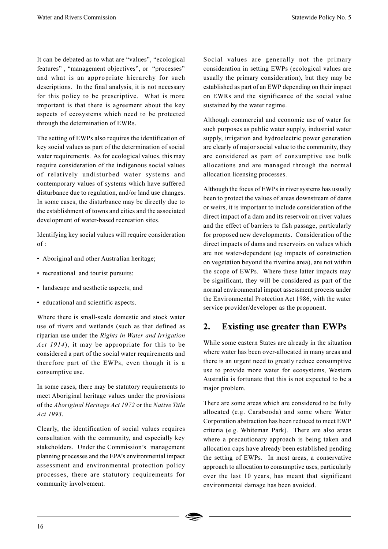It can be debated as to what are "values", "ecological features", "management objectives", or "processes" and what is an appropriate hierarchy for such descriptions. In the final analysis, it is not necessary for this policy to be prescriptive. What is more important is that there is agreement about the key aspects of ecosystems which need to be protected through the determination of EWRs.

The setting of EWPs also requires the identification of key social values as part of the determination of social water requirements. As for ecological values, this may require consideration of the indigenous social values of relatively undisturbed water systems and contemporary values of systems which have suffered disturbance due to regulation, and/or land use changes. In some cases, the disturbance may be directly due to the establishment of towns and cities and the associated development of water-based recreation sites.

Identifying key social values will require consideration  $of:$ 

- Aboriginal and other Australian heritage;
- recreational and tourist pursuits;
- landscape and aesthetic aspects; and
- educational and scientific aspects.

Where there is small-scale domestic and stock water use of rivers and wetlands (such as that defined as riparian use under the *Rights in Water and Irrigation Act 1914*), it may be appropriate for this to be considered a part of the social water requirements and therefore part of the EWPs, even though it is a consumptive use.

In some cases, there may be statutory requirements to meet Aboriginal heritage values under the provisions of the *Aboriginal Heritage Act 1972* or the *Native Title Act 1993*.

Clearly, the identification of social values requires consultation with the community, and especially key stakeholders. Under the Commission's management planning processes and the EPA's environmental impact assessment and environmental protection policy processes, there are statutory requirements for community involvement.

Social values are generally not the primary consideration in setting EWPs (ecological values are usually the primary consideration), but they may be established as part of an EWP depending on their impact on EWRs and the significance of the social value sustained by the water regime.

Although commercial and economic use of water for such purposes as public water supply, industrial water supply, irrigation and hydroelectric power generation are clearly of major social value to the community, they are considered as part of consumptive use bulk allocations and are managed through the normal allocation licensing processes.

Although the focus of EWPs in river systems has usually been to protect the values of areas downstream of dams or weirs, it is important to include consideration of the direct impact of a dam and its reservoir on river values and the effect of barriers to fish passage, particularly for proposed new developments. Consideration of the direct impacts of dams and reservoirs on values which are not water-dependent (eg impacts of construction on vegetation beyond the riverine area), are not within the scope of EWPs. Where these latter impacts may be significant, they will be considered as part of the normal environmental impact assessment process under the Environmental Protection Act 1986, with the water service provider/developer as the proponent.

### **2. Existing use greater than EWPs**

While some eastern States are already in the situation where water has been over-allocated in many areas and there is an urgent need to greatly reduce consumptive use to provide more water for ecosystems, Western Australia is fortunate that this is not expected to be a major problem.

There are some areas which are considered to be fully allocated (e.g. Carabooda) and some where Water Corporation abstraction has been reduced to meet EWP criteria (e.g. Whiteman Park). There are also areas where a precautionary approach is being taken and allocation caps have already been established pending the setting of EWPs. In most areas, a conservative approach to allocation to consumptive uses, particularly over the last 10 years, has meant that significant environmental damage has been avoided.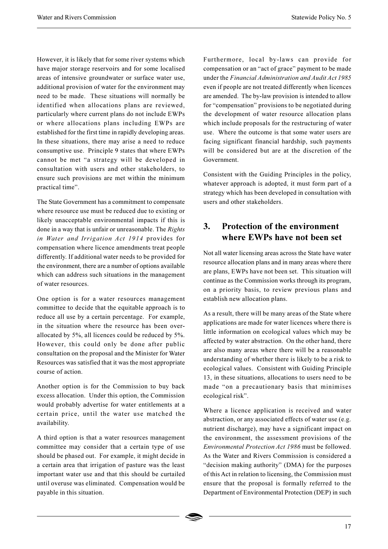However, it is likely that for some river systems which have major storage reservoirs and for some localised areas of intensive groundwater or surface water use, additional provision of water for the environment may need to be made. These situations will normally be identified when allocations plans are reviewed, particularly where current plans do not include EWPs or where allocations plans including EWPs are established for the first time in rapidly developing areas. In these situations, there may arise a need to reduce consumptive use. Principle 9 states that where EWPs cannot be met "a strategy will be developed in consultation with users and other stakeholders, to ensure such provisions are met within the minimum practical time".

The State Government has a commitment to compensate where resource use must be reduced due to existing or likely unacceptable environmental impacts if this is done in a way that is unfair or unreasonable. The *Rights in Water and Irrigation Act 1914* provides for compensation where licence amendments treat people differently. If additional water needs to be provided for the environment, there are a number of options available which can address such situations in the management of water resources.

One option is for a water resources management committee to decide that the equitable approach is to reduce all use by a certain percentage. For example, in the situation where the resource has been overallocated by 5%, all licences could be reduced by 5%. However, this could only be done after public consultation on the proposal and the Minister for Water Resources was satisfied that it was the most appropriate course of action.

Another option is for the Commission to buy back excess allocation. Under this option, the Commission would probably advertise for water entitlements at a certain price, until the water use matched the availability.

A third option is that a water resources management committee may consider that a certain type of use should be phased out. For example, it might decide in a certain area that irrigation of pasture was the least important water use and that this should be curtailed until overuse was eliminated. Compensation would be payable in this situation.

Furthermore, local by-laws can provide for compensation or an "act of grace" payment to be made under the *Financial Administration and Audit Act 1985* even if people are not treated differently when licences are amended. The by-law provision is intended to allow for "compensation" provisions to be negotiated during the development of water resource allocation plans which include proposals for the restructuring of water use. Where the outcome is that some water users are facing significant financial hardship, such payments will be considered but are at the discretion of the Government.

Consistent with the Guiding Principles in the policy, whatever approach is adopted, it must form part of a strategy which has been developed in consultation with users and other stakeholders.

### **3. Protection of the environment where EWPs have not been set**

Not all water licensing areas across the State have water resource allocation plans and in many areas where there are plans, EWPs have not been set. This situation will continue as the Commission works through its program, on a priority basis, to review previous plans and establish new allocation plans.

As a result, there will be many areas of the State where applications are made for water licences where there is little information on ecological values which may be affected by water abstraction. On the other hand, there are also many areas where there will be a reasonable understanding of whether there is likely to be a risk to ecological values. Consistent with Guiding Principle 13, in these situations, allocations to users need to be made "on a precautionary basis that minimises ecological risk".

Where a licence application is received and water abstraction, or any associated effects of water use (e.g. nutrient discharge), may have a significant impact on the environment, the assessment provisions of the *Environmental Protection Act 1986* must be followed. As the Water and Rivers Commission is considered a "decision making authority" (DMA) for the purposes of this Act in relation to licensing, the Commission must ensure that the proposal is formally referred to the Department of Environmental Protection (DEP) in such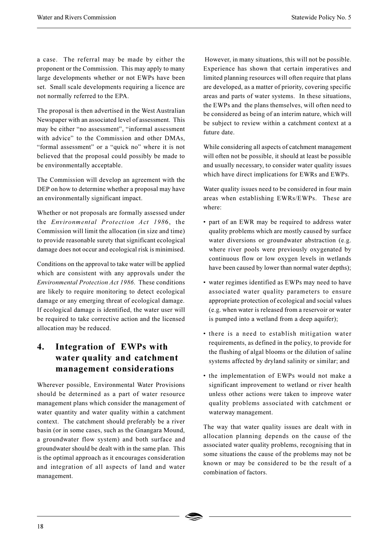a case. The referral may be made by either the proponent or the Commission. This may apply to many large developments whether or not EWPs have been set. Small scale developments requiring a licence are not normally referred to the EPA.

The proposal is then advertised in the West Australian Newspaper with an associated level of assessment. This may be either "no assessment", "informal assessment with advice" to the Commission and other DMAs, "formal assessment" or a "quick no" where it is not believed that the proposal could possibly be made to be environmentally acceptable.

The Commission will develop an agreement with the DEP on how to determine whether a proposal may have an environmentally significant impact.

Whether or not proposals are formally assessed under the *Environmental Protection Act 198*6, the Commission will limit the allocation (in size and time) to provide reasonable surety that significant ecological damage does not occur and ecological risk is minimised.

Conditions on the approval to take water will be applied which are consistent with any approvals under the *Environmental Protection Act 1986*. These conditions are likely to require monitoring to detect ecological damage or any emerging threat of ecological damage. If ecological damage is identified, the water user will be required to take corrective action and the licensed allocation may be reduced.

## **4. Integration of EWPs with water quality and catchment management considerations**

Wherever possible, Environmental Water Provisions should be determined as a part of water resource management plans which consider the management of water quantity and water quality within a catchment context. The catchment should preferably be a river basin (or in some cases, such as the Gnangara Mound, a groundwater flow system) and both surface and groundwater should be dealt with in the same plan. This is the optimal approach as it encourages consideration and integration of all aspects of land and water management.

 However, in many situations, this will not be possible. Experience has shown that certain imperatives and limited planning resources will often require that plans are developed, as a matter of priority, covering specific areas and parts of water systems. In these situations, the EWPs and the plans themselves, will often need to be considered as being of an interim nature, which will be subject to review within a catchment context at a future date.

While considering all aspects of catchment management will often not be possible, it should at least be possible and usually necessary, to consider water quality issues which have direct implications for EWRs and EWPs.

Water quality issues need to be considered in four main areas when establishing EWRs/EWPs. These are where:

- part of an EWR may be required to address water quality problems which are mostly caused by surface water diversions or groundwater abstraction (e.g. where river pools were previously oxygenated by continuous flow or low oxygen levels in wetlands have been caused by lower than normal water depths);
- water regimes identified as EWPs may need to have associated water quality parameters to ensure appropriate protection of ecological and social values (e.g. when water is released from a reservoir or water is pumped into a wetland from a deep aquifer);
- there is a need to establish mitigation water requirements, as defined in the policy, to provide for the flushing of algal blooms or the dilution of saline systems affected by dryland salinity or similar; and
- the implementation of EWPs would not make a significant improvement to wetland or river health unless other actions were taken to improve water quality problems associated with catchment or waterway management.

The way that water quality issues are dealt with in allocation planning depends on the cause of the associated water quality problems, recognising that in some situations the cause of the problems may not be known or may be considered to be the result of a combination of factors.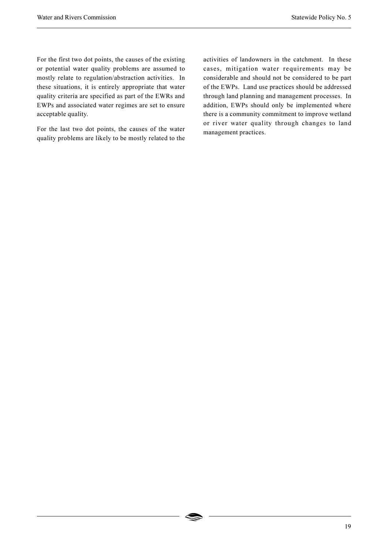For the first two dot points, the causes of the existing or potential water quality problems are assumed to mostly relate to regulation/abstraction activities. In these situations, it is entirely appropriate that water quality criteria are specified as part of the EWRs and EWPs and associated water regimes are set to ensure acceptable quality.

For the last two dot points, the causes of the water quality problems are likely to be mostly related to the activities of landowners in the catchment. In these cases, mitigation water requirements may be considerable and should not be considered to be part of the EWPs. Land use practices should be addressed through land planning and management processes. In addition, EWPs should only be implemented where there is a community commitment to improve wetland or river water quality through changes to land management practices.

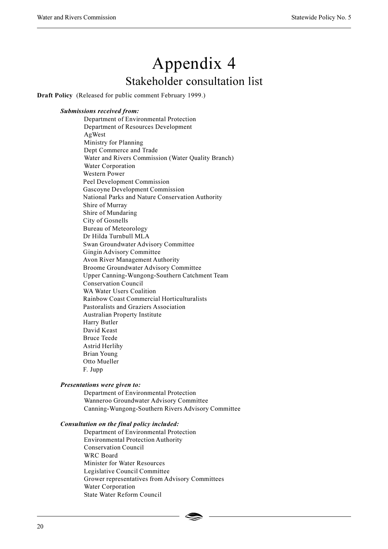## Appendix 4 Stakeholder consultation list

#### **Draft Policy** (Released for public comment February 1999.)

### *Submissions received from:*

Department of Environmental Protection Department of Resources Development AgWest Ministry for Planning Dept Commerce and Trade Water and Rivers Commission (Water Quality Branch) Water Corporation Western Power Peel Development Commission Gascoyne Development Commission National Parks and Nature Conservation Authority Shire of Murray Shire of Mundaring City of Gosnells Bureau of Meteorology Dr Hilda Turnbull MLA Swan Groundwater Advisory Committee Gingin Advisory Committee Avon River Management Authority Broome Groundwater Advisory Committee Upper Canning-Wungong-Southern Catchment Team Conservation Council WA Water Users Coalition Rainbow Coast Commercial Horticulturalists Pastoralists and Graziers Association Australian Property Institute Harry Butler David Keast Bruce Teede Astrid Herlihy Brian Young Otto Mueller F. Jupp

### *Presentations were given to:*

Department of Environmental Protection Wanneroo Groundwater Advisory Committee Canning-Wungong-Southern Rivers Advisory Committee

#### *Consultation on the final policy included:*

Department of Environmental Protection Environmental Protection Authority Conservation Council WRC Board Minister for Water Resources Legislative Council Committee Grower representatives from Advisory Committees Water Corporation State Water Reform Council

≶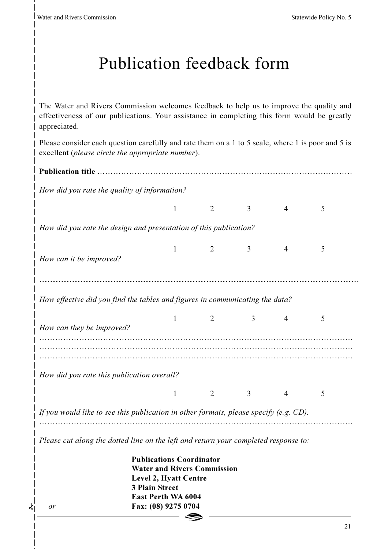✁

# Publication feedback form

The Water and Rivers Commission welcomes feedback to help us to improve the quality and effectiveness of our publications. Your assistance in completing this form would be greatly appreciated.

Please consider each question carefully and rate them on a 1 to 5 scale, where 1 is poor and 5 is excellent (*please circle the appropriate number*).

| How did you rate the quality of information?                                                                                                                                      |  |              |                |                |                |   |  |
|-----------------------------------------------------------------------------------------------------------------------------------------------------------------------------------|--|--------------|----------------|----------------|----------------|---|--|
|                                                                                                                                                                                   |  | 1            | $\overline{2}$ | 3              | $\overline{4}$ | 5 |  |
| How did you rate the design and presentation of this publication?                                                                                                                 |  |              |                |                |                |   |  |
| How can it be improved?                                                                                                                                                           |  | $\mathbf{1}$ | 2              | $\mathfrak{Z}$ | 4              | 5 |  |
| How effective did you find the tables and figures in communicating the data?                                                                                                      |  |              |                |                |                |   |  |
| How can they be improved?                                                                                                                                                         |  | $\mathbf{1}$ | $\overline{2}$ | $\overline{3}$ | $\overline{4}$ | 5 |  |
| How did you rate this publication overall?                                                                                                                                        |  |              |                |                |                |   |  |
|                                                                                                                                                                                   |  | $\mathbf{1}$ | $\overline{2}$ | $\overline{3}$ | 4              | 5 |  |
| If you would like to see this publication in other formats, please specify (e.g. $CD$ ).                                                                                          |  |              |                |                |                |   |  |
| Please cut along the dotted line on the left and return your completed response to:                                                                                               |  |              |                |                |                |   |  |
| <b>Publications Coordinator</b><br><b>Water and Rivers Commission</b><br><b>Level 2, Hyatt Centre</b><br><b>3 Plain Street</b><br>East Perth WA 6004<br>Fax: (08) 9275 0704<br>or |  |              |                |                |                |   |  |

⋐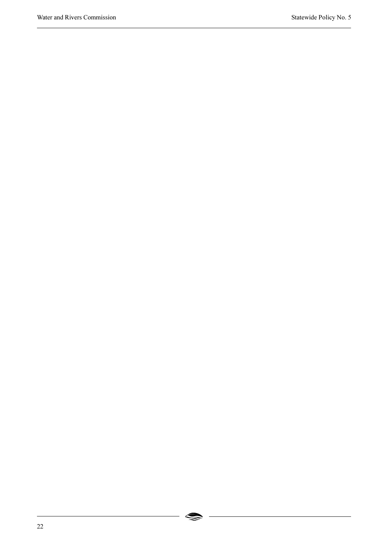